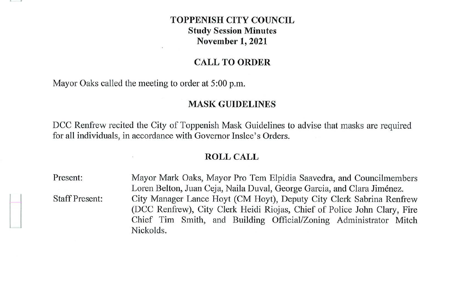# **TOPPENISH CITY COUNCIL Study Session Minutes November 1, 2021**

## **CALL TO ORDER**

Mayor Oaks called the meeting to order at 5:00 p.m.

#### **MASK GUIDELINES**

DCC Renfrew recited the City of Toppenish Mask Guidelines to advise that masks are required for all individuals, in accordance with Governor Inslee's Orders.

#### **ROLL CALL**

Present: Staff Present: Mayor Mark Oaks, Mayor Pro Tern Elpidia Saavedra, and Councilmembers Loren Belton, Juan Ceja, Naila Duval, George Garcia, and Clara Jimenez. City Manager Lance Hoyt (CM Hoyt), Deputy City Clerk Sabrina Renfrew (DCC Renfrew), City Clerk Heidi Riojas, Chief of Police John Clary, Fire Chief Tim Smith, and Building Official/Zoning Administrator Mitch Nickolds.